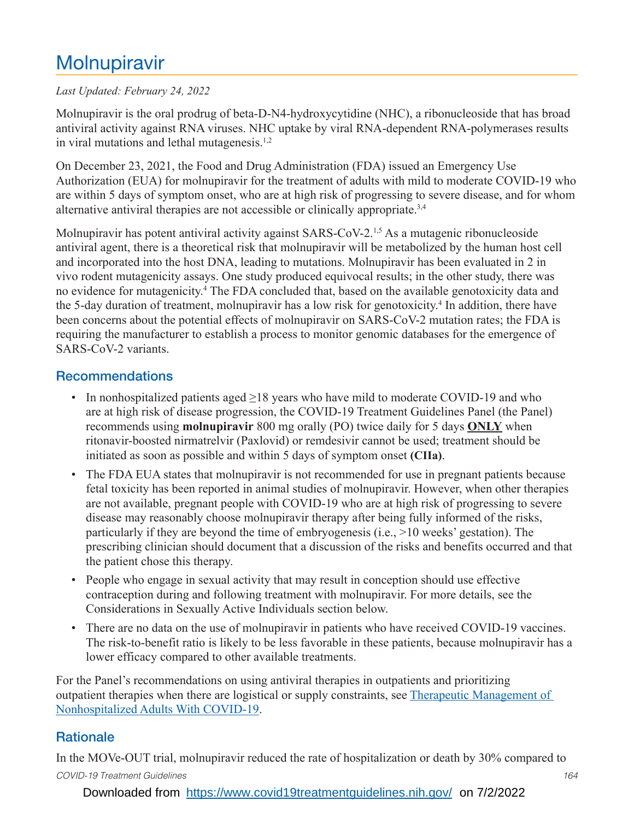# **Molnupiravir**

#### *Last Updated: February 24, 2022*

Molnupiravir is the oral prodrug of beta-D-N4-hydroxycytidine (NHC), a ribonucleoside that has broad antiviral activity against RNA viruses. NHC uptake by viral RNA-dependent RNA-polymerases results in viral mutations and lethal mutagenesis. $1,2$ 

On December 23, 2021, the Food and Drug Administration (FDA) issued an Emergency Use Authorization (EUA) for molnupiravir for the treatment of adults with mild to moderate COVID-19 who are within 5 days of symptom onset, who are at high risk of progressing to severe disease, and for whom alternative antiviral therapies are not accessible or clinically appropriate.<sup>3,4</sup>

Molnupiravir has potent antiviral activity against SARS-CoV-2.<sup>1,5</sup> As a mutagenic ribonucleoside antiviral agent, there is a theoretical risk that molnupiravir will be metabolized by the human host cell and incorporated into the host DNA, leading to mutations. Molnupiravir has been evaluated in 2 in vivo rodent mutagenicity assays. One study produced equivocal results; in the other study, there was no evidence for mutagenicity.4 The FDA concluded that, based on the available genotoxicity data and the 5-day duration of treatment, molnupiravir has a low risk for genotoxicity.<sup>4</sup> In addition, there have been concerns about the potential effects of molnupiravir on SARS-CoV-2 mutation rates; the FDA is requiring the manufacturer to establish a process to monitor genomic databases for the emergence of SARS-CoV-2 variants.

### Recommendations

- In nonhospitalized patients aged  $\geq$ 18 years who have mild to moderate COVID-19 and who are at high risk of disease progression, the COVID-19 Treatment Guidelines Panel (the Panel) recommends using **molnupiravir** 800 mg orally (PO) twice daily for 5 days **ONLY** when ritonavir-boosted nirmatrelvir (Paxlovid) or remdesivir cannot be used; treatment should be initiated as soon as possible and within 5 days of symptom onset **(CIIa)**.
- The FDA EUA states that molnupiravir is not recommended for use in pregnant patients because fetal toxicity has been reported in animal studies of molnupiravir. However, when other therapies are not available, pregnant people with COVID-19 who are at high risk of progressing to severe disease may reasonably choose molnupiravir therapy after being fully informed of the risks, particularly if they are beyond the time of embryogenesis (i.e., >10 weeks' gestation). The prescribing clinician should document that a discussion of the risks and benefits occurred and that the patient chose this therapy.
- People who engage in sexual activity that may result in conception should use effective contraception during and following treatment with molnupiravir. For more details, see the Considerations in Sexually Active Individuals section below.
- There are no data on the use of molnupiravir in patients who have received COVID-19 vaccines. The risk-to-benefit ratio is likely to be less favorable in these patients, because molnupiravir has a lower efficacy compared to other available treatments.

For the Panel's recommendations on using antiviral therapies in outpatients and prioritizing outpatient therapies when there are logistical or supply constraints, see Therapeutic Management of Nonhospitalized Adults With COVID-19.

# **Rationale**

*COVID-19 Treatment Guidelines 164* In the MOVe-OUT trial, molnupiravir reduced the rate of hospitalization or death by 30% compared to

#### Downloaded from <https://www.covid19treatmentguidelines.nih.gov/> on 7/2/2022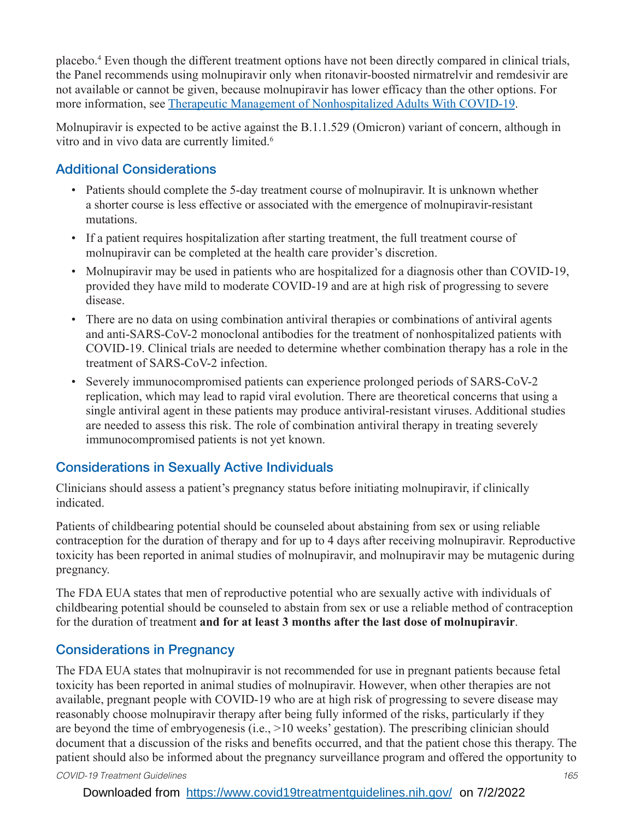placebo.4 Even though the different treatment options have not been directly compared in clinical trials, the Panel recommends using molnupiravir only when ritonavir-boosted nirmatrelvir and remdesivir are not available or cannot be given, because molnupiravir has lower efficacy than the other options. For more information, see Therapeutic Management of Nonhospitalized Adults With COVID-19.

Molnupiravir is expected to be active against the B.1.1.529 (Omicron) variant of concern, although in vitro and in vivo data are currently limited.<sup>6</sup>

# Additional Considerations

- Patients should complete the 5-day treatment course of molnupiravir. It is unknown whether a shorter course is less effective or associated with the emergence of molnupiravir-resistant mutations.
- If a patient requires hospitalization after starting treatment, the full treatment course of molnupiravir can be completed at the health care provider's discretion.
- Molnupiravir may be used in patients who are hospitalized for a diagnosis other than COVID-19, provided they have mild to moderate COVID-19 and are at high risk of progressing to severe disease.
- There are no data on using combination antiviral therapies or combinations of antiviral agents and anti-SARS-CoV-2 monoclonal antibodies for the treatment of nonhospitalized patients with COVID-19. Clinical trials are needed to determine whether combination therapy has a role in the treatment of SARS-CoV-2 infection.
- Severely immunocompromised patients can experience prolonged periods of SARS-CoV-2 replication, which may lead to rapid viral evolution. There are theoretical concerns that using a single antiviral agent in these patients may produce antiviral-resistant viruses. Additional studies are needed to assess this risk. The role of combination antiviral therapy in treating severely immunocompromised patients is not yet known.

# Considerations in Sexually Active Individuals

Clinicians should assess a patient's pregnancy status before initiating molnupiravir, if clinically indicated.

Patients of childbearing potential should be counseled about abstaining from sex or using reliable contraception for the duration of therapy and for up to 4 days after receiving molnupiravir. Reproductive toxicity has been reported in animal studies of molnupiravir, and molnupiravir may be mutagenic during pregnancy.

The FDA EUA states that men of reproductive potential who are sexually active with individuals of childbearing potential should be counseled to abstain from sex or use a reliable method of contraception for the duration of treatment **and for at least 3 months after the last dose of molnupiravir**.

# Considerations in Pregnancy

The FDA EUA states that molnupiravir is not recommended for use in pregnant patients because fetal toxicity has been reported in animal studies of molnupiravir. However, when other therapies are not available, pregnant people with COVID-19 who are at high risk of progressing to severe disease may reasonably choose molnupiravir therapy after being fully informed of the risks, particularly if they are beyond the time of embryogenesis (i.e., >10 weeks' gestation). The prescribing clinician should document that a discussion of the risks and benefits occurred, and that the patient chose this therapy. The patient should also be informed about the pregnancy surveillance program and offered the opportunity to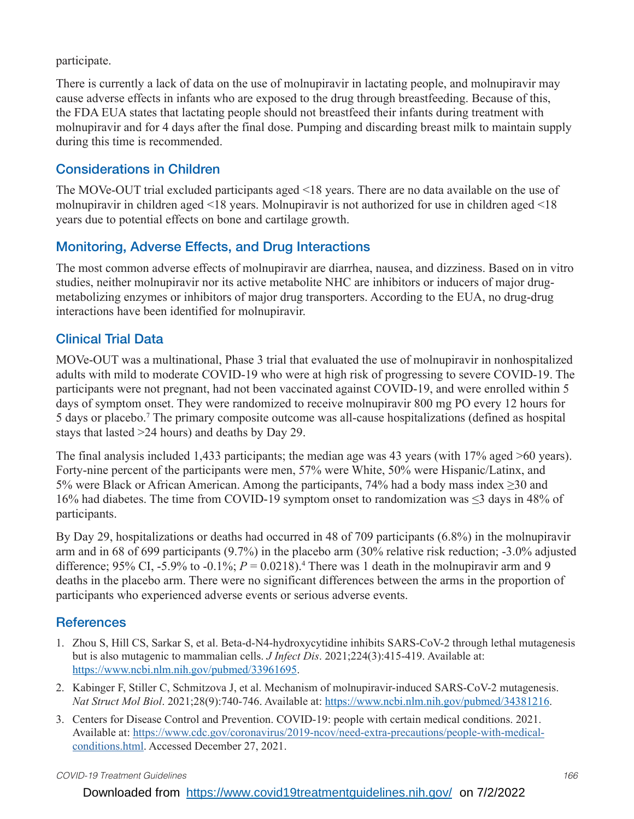participate.

There is currently a lack of data on the use of molnupiravir in lactating people, and molnupiravir may cause adverse effects in infants who are exposed to the drug through breastfeeding. Because of this, the FDA EUA states that lactating people should not breastfeed their infants during treatment with molnupiravir and for 4 days after the final dose. Pumping and discarding breast milk to maintain supply during this time is recommended.

## Considerations in Children

The MOVe-OUT trial excluded participants aged <18 years. There are no data available on the use of molnupiravir in children aged <18 years. Molnupiravir is not authorized for use in children aged <18 years due to potential effects on bone and cartilage growth.

# Monitoring, Adverse Effects, and Drug Interactions

The most common adverse effects of molnupiravir are diarrhea, nausea, and dizziness. Based on in vitro studies, neither molnupiravir nor its active metabolite NHC are inhibitors or inducers of major drugmetabolizing enzymes or inhibitors of major drug transporters. According to the EUA, no drug-drug interactions have been identified for molnupiravir.

### Clinical Trial Data

MOVe-OUT was a multinational, Phase 3 trial that evaluated the use of molnupiravir in nonhospitalized adults with mild to moderate COVID-19 who were at high risk of progressing to severe COVID-19. The participants were not pregnant, had not been vaccinated against COVID-19, and were enrolled within 5 days of symptom onset. They were randomized to receive molnupiravir 800 mg PO every 12 hours for 5 days or placebo.7 The primary composite outcome was all-cause hospitalizations (defined as hospital stays that lasted >24 hours) and deaths by Day 29.

The final analysis included 1,433 participants; the median age was 43 years (with 17% aged >60 years). Forty-nine percent of the participants were men, 57% were White, 50% were Hispanic/Latinx, and 5% were Black or African American. Among the participants, 74% had a body mass index ≥30 and 16% had diabetes. The time from COVID-19 symptom onset to randomization was ≤3 days in 48% of participants.

By Day 29, hospitalizations or deaths had occurred in 48 of 709 participants (6.8%) in the molnupiravir arm and in 68 of 699 participants (9.7%) in the placebo arm (30% relative risk reduction; -3.0% adjusted difference; 95% CI, -5.9% to -0.1%;  $P = 0.0218$ ).<sup>4</sup> There was 1 death in the molnupiravir arm and 9 deaths in the placebo arm. There were no significant differences between the arms in the proportion of participants who experienced adverse events or serious adverse events.

# **References**

- 1. Zhou S, Hill CS, Sarkar S, et al. Beta-d-N4-hydroxycytidine inhibits SARS-CoV-2 through lethal mutagenesis but is also mutagenic to mammalian cells. *J Infect Dis*. 2021;224(3):415-419. Available at: https://www.ncbi.nlm.nih.gov/pubmed/33961695.
- 2. Kabinger F, Stiller C, Schmitzova J, et al. Mechanism of molnupiravir-induced SARS-CoV-2 mutagenesis. *Nat Struct Mol Biol*. 2021;28(9):740-746. Available at: https://www.ncbi.nlm.nih.gov/pubmed/34381216.
- 3. Centers for Disease Control and Prevention. COVID-19: people with certain medical conditions. 2021. Available at: [https://www.cdc.gov/coronavirus/2019-ncov/need-extra-precautions/people-with-medical](https://www.cdc.gov/coronavirus/2019-ncov/need-extra-precautions/people-with-medical-conditions.html)[conditions.html.](https://www.cdc.gov/coronavirus/2019-ncov/need-extra-precautions/people-with-medical-conditions.html) Accessed December 27, 2021.

Downloaded from <https://www.covid19treatmentguidelines.nih.gov/> on 7/2/2022